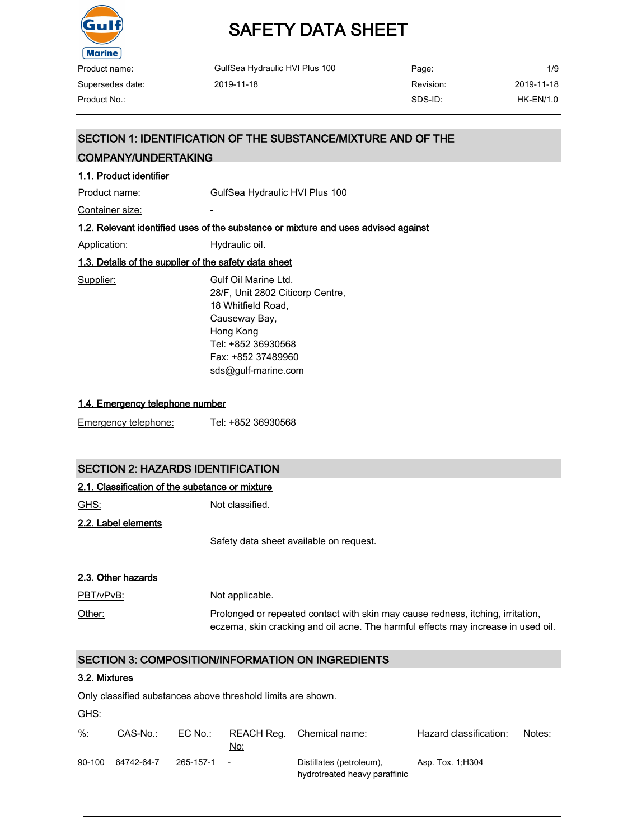

| Product name:    | GulfSea Hydraulic HVI Plus 100 | Page:     | 1/9         |
|------------------|--------------------------------|-----------|-------------|
| Supersedes date: | 2019-11-18                     | Revision: | 2019-11-18  |
| Product No.:     |                                | SDS-ID:   | $HK-EN/1.0$ |

### SECTION 1: IDENTIFICATION OF THE SUBSTANCE/MIXTURE AND OF THE

### COMPANY/UNDERTAKING

| 1.1. Product identifier                               |                                                                                                                                                           |
|-------------------------------------------------------|-----------------------------------------------------------------------------------------------------------------------------------------------------------|
|                                                       |                                                                                                                                                           |
| Product name:                                         | GulfSea Hydraulic HVI Plus 100                                                                                                                            |
| Container size:                                       |                                                                                                                                                           |
|                                                       | 1.2. Relevant identified uses of the substance or mixture and uses advised against                                                                        |
| <b>Application:</b>                                   | Hydraulic oil.                                                                                                                                            |
| 1.3. Details of the supplier of the safety data sheet |                                                                                                                                                           |
| Supplier:                                             | Gulf Oil Marine I td.<br>28/F, Unit 2802 Citicorp Centre,<br>18 Whitfield Road.<br>Causeway Bay,<br>Hong Kong<br>Tel: +852 36930568<br>Fax: +852 37489960 |
|                                                       | sds@qulf-marine.com                                                                                                                                       |

#### 1.4. Emergency telephone number

| Emergency telephone: | Tel: +852 36930568 |
|----------------------|--------------------|
|----------------------|--------------------|

### SECTION 2: HAZARDS IDENTIFICATION

| 2.1. Classification of the substance or mixture |  |  |  |
|-------------------------------------------------|--|--|--|
|                                                 |  |  |  |

GHS: Not classified.

2.2. Label elements

Safety data sheet available on request.

### 2.3. Other hazards

| PBT/vPvB: | Not applicable.                                                                                                                                                      |
|-----------|----------------------------------------------------------------------------------------------------------------------------------------------------------------------|
| Other:    | Prolonged or repeated contact with skin may cause redness, itching, irritation,<br>eczema, skin cracking and oil acne. The harmful effects may increase in used oil. |

### SECTION 3: COMPOSITION/INFORMATION ON INGREDIENTS

### 3.2. Mixtures

Only classified substances above threshold limits are shown.

GHS:

| <u>%:</u> | CAS-No.:   | EC No.:     | No: | REACH Reg. Chemical name:                                 | Hazard classification: | Notes: |
|-----------|------------|-------------|-----|-----------------------------------------------------------|------------------------|--------|
| 90-100    | 64742-64-7 | 265-157-1 - |     | Distillates (petroleum),<br>hydrotreated heavy paraffinic | Asp. Tox. 1, H304      |        |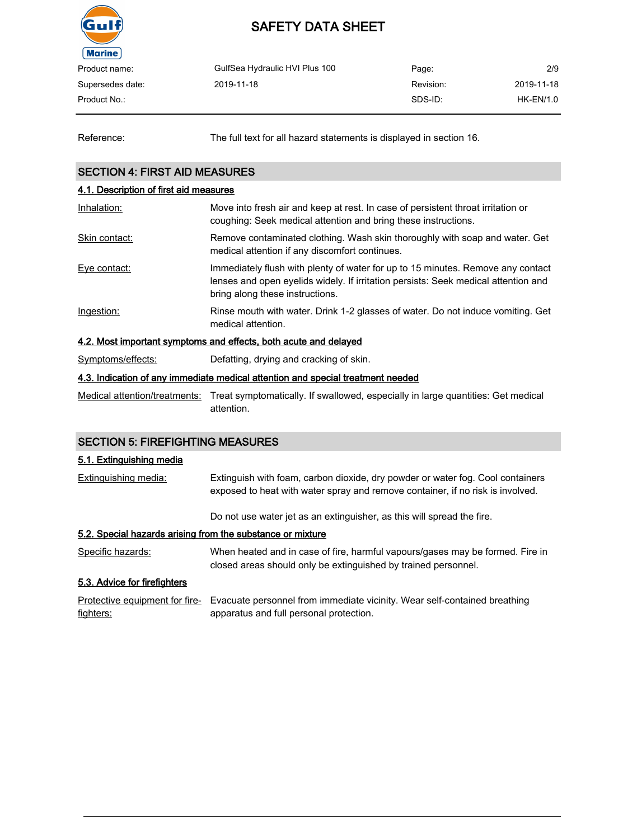

| Product name:    | GulfSea Hydraulic HVI Plus 100 | Page:     | 2/9         |
|------------------|--------------------------------|-----------|-------------|
| Supersedes date: | 2019-11-18                     | Revision: | 2019-11-18  |
| Product No.:     |                                | SDS-ID:   | $HK-EN/1.0$ |
|                  |                                |           |             |

Reference: The full text for all hazard statements is displayed in section 16.

### SECTION 4: FIRST AID MEASURES

### 4.1. Description of first aid measures Inhalation: Move into fresh air and keep at rest. In case of persistent throat irritation or coughing: Seek medical attention and bring these instructions. Skin contact: Remove contaminated clothing. Wash skin thoroughly with soap and water. Get medical attention if any discomfort continues. Eye contact: Immediately flush with plenty of water for up to 15 minutes. Remove any contact lenses and open eyelids widely. If irritation persists: Seek medical attention and bring along these instructions. Ingestion: Rinse mouth with water. Drink 1-2 glasses of water. Do not induce vomiting. Get medical attention. 4.2. Most important symptoms and effects, both acute and delayed Symptoms/effects: Defatting, drying and cracking of skin. 4.3. Indication of any immediate medical attention and special treatment needed Medical attention/treatments: Treat symptomatically. If swallowed, especially in large quantities: Get medical

# SECTION 5: FIREFIGHTING MEASURES

attention.

### 5.1. Extinguishing media

| Extinguishing media:                                       | Extinguish with foam, carbon dioxide, dry powder or water fog. Cool containers<br>exposed to heat with water spray and remove container, if no risk is involved. |
|------------------------------------------------------------|------------------------------------------------------------------------------------------------------------------------------------------------------------------|
|                                                            | Do not use water jet as an extinguisher, as this will spread the fire.                                                                                           |
| 5.2. Special hazards arising from the substance or mixture |                                                                                                                                                                  |
| Specific hazards:                                          | When heated and in case of fire, harmful vapours/gases may be formed. Fire in<br>closed areas should only be extinguished by trained personnel.                  |
| 5.3. Advice for firefighters                               |                                                                                                                                                                  |

Protective equipment for fire- Evacuate personnel from immediate vicinity. Wear self-contained breathing fighters: apparatus and full personal protection.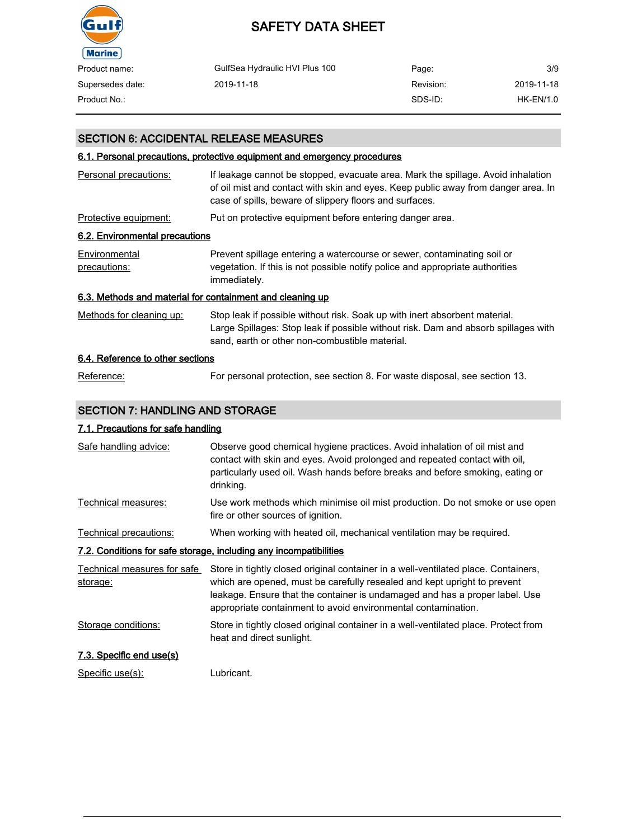

| Product name:    | GulfSea Hydraulic HVI Plus 100 | Page:     | 3/9        |
|------------------|--------------------------------|-----------|------------|
| Supersedes date: | 2019-11-18                     | Revision: | 2019-11-18 |
| Product No.:     |                                | SDS-ID:   | HK-EN/1.0  |

### SECTION 6: ACCIDENTAL RELEASE MEASURES

### 6.1. Personal precautions, protective equipment and emergency procedures

| Personal precautions:                                     | If leakage cannot be stopped, evacuate area. Mark the spillage. Avoid inhalation<br>of oil mist and contact with skin and eyes. Keep public away from danger area. In<br>case of spills, beware of slippery floors and surfaces. |
|-----------------------------------------------------------|----------------------------------------------------------------------------------------------------------------------------------------------------------------------------------------------------------------------------------|
| Protective equipment:                                     | Put on protective equipment before entering danger area.                                                                                                                                                                         |
| 6.2. Environmental precautions                            |                                                                                                                                                                                                                                  |
| Environmental<br>precautions:                             | Prevent spillage entering a watercourse or sewer, contaminating soil or<br>vegetation. If this is not possible notify police and appropriate authorities<br>immediately.                                                         |
| 6.3. Methods and material for containment and cleaning up |                                                                                                                                                                                                                                  |
| Methods for cleaning up:                                  | Stop leak if possible without risk. Soak up with inert absorbent material.<br>Large Spillages: Stop leak if possible without risk. Dam and absorb spillages with<br>sand, earth or other non-combustible material.               |
| 6.4. Reference to other sections                          |                                                                                                                                                                                                                                  |
| Reference:                                                | For personal protection, see section 8. For waste disposal, see section 13.                                                                                                                                                      |

### SECTION 7: HANDLING AND STORAGE

### 7.1. Precautions for safe handling

| Safe handling advice:                   | Observe good chemical hygiene practices. Avoid inhalation of oil mist and<br>contact with skin and eyes. Avoid prolonged and repeated contact with oil,<br>particularly used oil. Wash hands before breaks and before smoking, eating or<br>drinking.                                                          |
|-----------------------------------------|----------------------------------------------------------------------------------------------------------------------------------------------------------------------------------------------------------------------------------------------------------------------------------------------------------------|
| Technical measures:                     | Use work methods which minimise oil mist production. Do not smoke or use open<br>fire or other sources of ignition.                                                                                                                                                                                            |
| Technical precautions:                  | When working with heated oil, mechanical ventilation may be required.                                                                                                                                                                                                                                          |
|                                         | 7.2. Conditions for safe storage, including any incompatibilities                                                                                                                                                                                                                                              |
| Technical measures for safe<br>storage: | Store in tightly closed original container in a well-ventilated place. Containers,<br>which are opened, must be carefully resealed and kept upright to prevent<br>leakage. Ensure that the container is undamaged and has a proper label. Use<br>appropriate containment to avoid environmental contamination. |
| Storage conditions:                     | Store in tightly closed original container in a well-ventilated place. Protect from<br>heat and direct sunlight.                                                                                                                                                                                               |
| 7.3. Specific end use(s)                |                                                                                                                                                                                                                                                                                                                |
| Specific use(s):                        | Lubricant.                                                                                                                                                                                                                                                                                                     |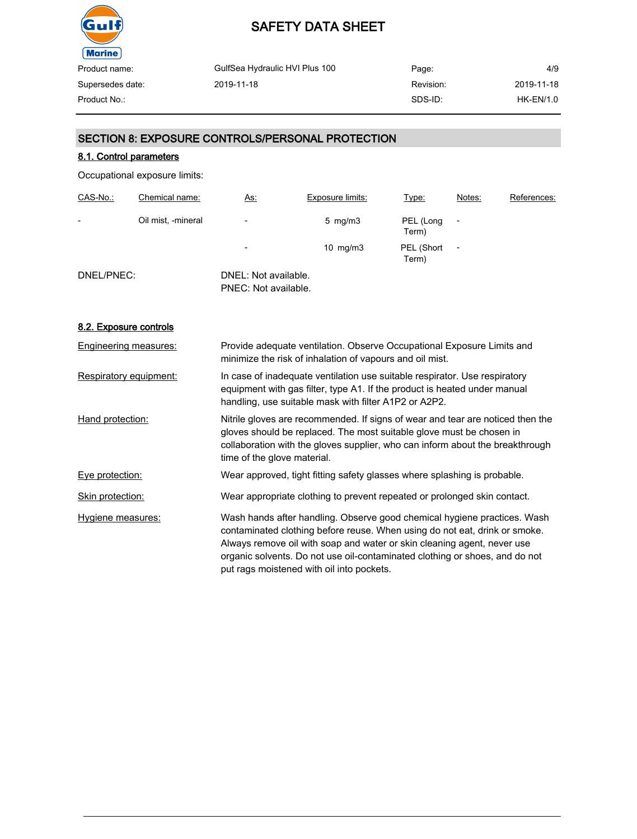

| Product name:    | GulfSea Hydraulic HVI Plus 100 | Page:     | 4/9              |
|------------------|--------------------------------|-----------|------------------|
| Supersedes date: | 2019-11-18                     | Revision: | 2019-11-18       |
| Product No.:     |                                | SDS-ID:   | <b>HK-EN/1.0</b> |
|                  |                                |           |                  |

### SECTION 8: EXPOSURE CONTROLS/PERSONAL PROTECTION

### 8.1. Control parameters

Occupational exposure limits:

| CAS-No.:                 | Chemical name:     | <u>As:</u>                                   | Exposure limits:   | Type:               | Notes: | References: |
|--------------------------|--------------------|----------------------------------------------|--------------------|---------------------|--------|-------------|
| $\overline{\phantom{0}}$ | Oil mist, -mineral | $\overline{\phantom{a}}$                     | $5 \,$ mg/m $3 \,$ | PEL (Long<br>Term)  |        |             |
|                          |                    | $\overline{\phantom{0}}$                     | 10 $mg/m3$         | PEL (Short<br>Term) | ٠      |             |
| DNEL/PNEC:               |                    | DNEL: Not available.<br>PNEC: Not available. |                    |                     |        |             |

### 8.2. Exposure controls

| Engineering measures:  | Provide adequate ventilation. Observe Occupational Exposure Limits and<br>minimize the risk of inhalation of vapours and oil mist.                                                                                                                                                                                                                            |
|------------------------|---------------------------------------------------------------------------------------------------------------------------------------------------------------------------------------------------------------------------------------------------------------------------------------------------------------------------------------------------------------|
| Respiratory equipment: | In case of inadequate ventilation use suitable respirator. Use respiratory<br>equipment with gas filter, type A1. If the product is heated under manual<br>handling, use suitable mask with filter A1P2 or A2P2.                                                                                                                                              |
| Hand protection:       | Nitrile gloves are recommended. If signs of wear and tear are noticed then the<br>gloves should be replaced. The most suitable glove must be chosen in<br>collaboration with the gloves supplier, who can inform about the breakthrough<br>time of the glove material.                                                                                        |
| Eye protection:        | Wear approved, tight fitting safety glasses where splashing is probable.                                                                                                                                                                                                                                                                                      |
| Skin protection:       | Wear appropriate clothing to prevent repeated or prolonged skin contact.                                                                                                                                                                                                                                                                                      |
| Hygiene measures:      | Wash hands after handling. Observe good chemical hygiene practices. Wash<br>contaminated clothing before reuse. When using do not eat, drink or smoke.<br>Always remove oil with soap and water or skin cleaning agent, never use<br>organic solvents. Do not use oil-contaminated clothing or shoes, and do not<br>put rags moistened with oil into pockets. |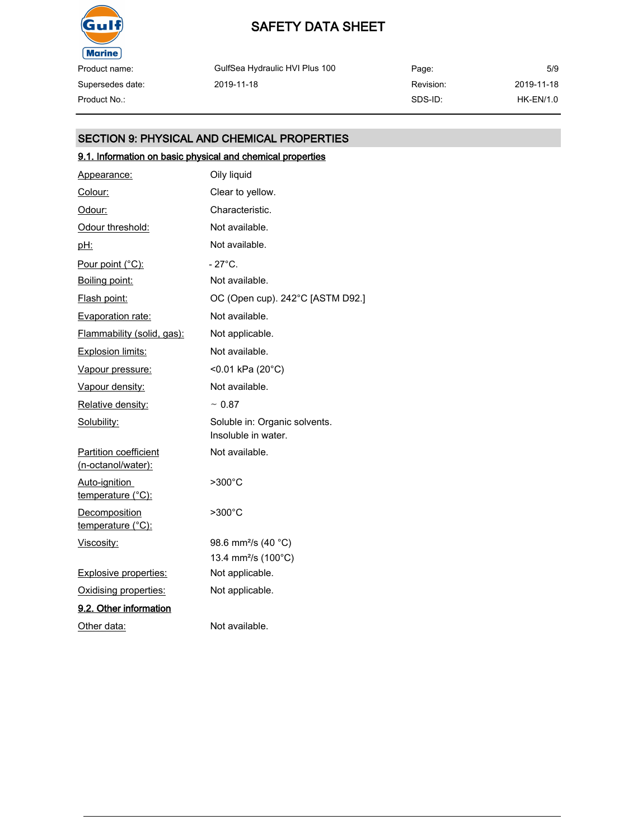

Supersedes date:

# SAFETY DATA SHEET

GulfSea Hydraulic HVI Plus 100 2019-11-18

Page: Revision: SDS-ID: Product No.: HK-EN/1.0

# 5/9 2019-11-18

### SECTION 9: PHYSICAL AND CHEMICAL PROPERTIES

### 9.1. Information on basic physical and chemical properties

| Appearance:                                        | Oily liquid                                          |
|----------------------------------------------------|------------------------------------------------------|
| Colour:                                            | Clear to yellow.                                     |
| Odour:                                             | Characteristic.                                      |
| Odour threshold:                                   | Not available.                                       |
| <u>pH:</u>                                         | Not available.                                       |
| Pour point (°C):                                   | $-27^{\circ}$ C.                                     |
| Boiling point:                                     | Not available.                                       |
| Flash point:                                       | OC (Open cup). 242°C [ASTM D92.]                     |
| Evaporation rate:                                  | Not available.                                       |
| Flammability (solid, gas):                         | Not applicable.                                      |
| Explosion limits:                                  | Not available.                                       |
| Vapour pressure:                                   | <0.01 kPa (20°C)                                     |
| Vapour density:                                    | Not available.                                       |
| Relative density:                                  | $~\sim 0.87$                                         |
| Solubility:                                        | Soluble in: Organic solvents.<br>Insoluble in water. |
| <b>Partition coefficient</b><br>(n-octanol/water): | Not available.                                       |
| Auto-ignition<br>temperature (°C):                 | $>300^{\circ}$ C                                     |
| Decomposition<br>temperature (°C):                 | $>300^{\circ}$ C                                     |
| Viscosity:                                         | 98.6 mm <sup>2</sup> /s (40 °C)                      |
|                                                    | 13.4 mm <sup>2</sup> /s (100°C)                      |
| <b>Explosive properties:</b>                       | Not applicable.                                      |
| Oxidising properties:                              | Not applicable.                                      |
| 9.2. Other information                             |                                                      |
| Other data:                                        | Not available.                                       |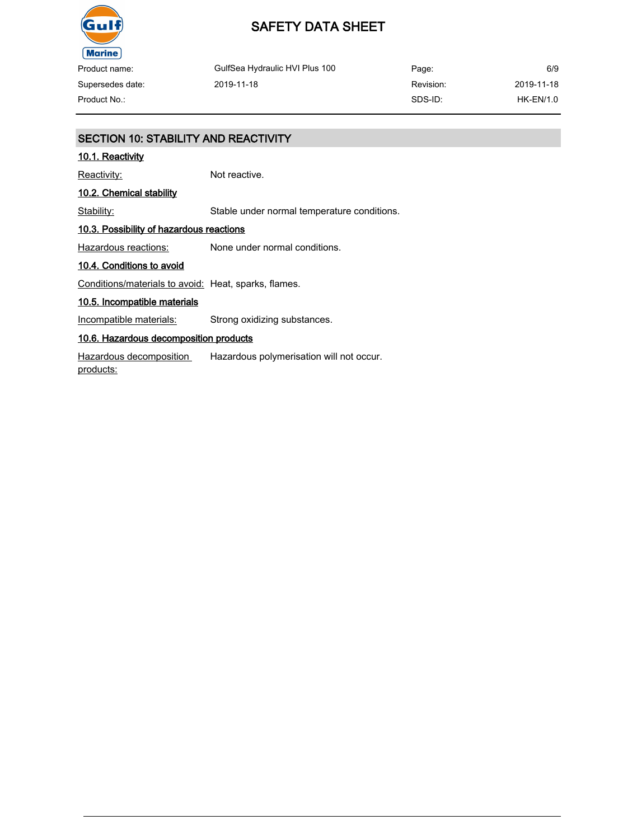

Product name: Supersedes date:

GulfSea Hydraulic HVI Plus 100 2019-11-18

Page: Revision: SDS-ID: 6/9 2019-11-18 Product No.: HK-EN/1.0

### SECTION 10: STABILITY AND REACTIVITY

### 10.1. Reactivity

Reactivity: Not reactive.

### 10.2. Chemical stability

Stability: Stable under normal temperature conditions.

### 10.3. Possibility of hazardous reactions

Hazardous reactions: None under normal conditions.

#### 10.4. Conditions to avoid

Conditions/materials to avoid: Heat, sparks, flames.

### 10.5. Incompatible materials

Incompatible materials: Strong oxidizing substances.

### 10.6. Hazardous decomposition products

Hazardous decomposition products: Hazardous polymerisation will not occur.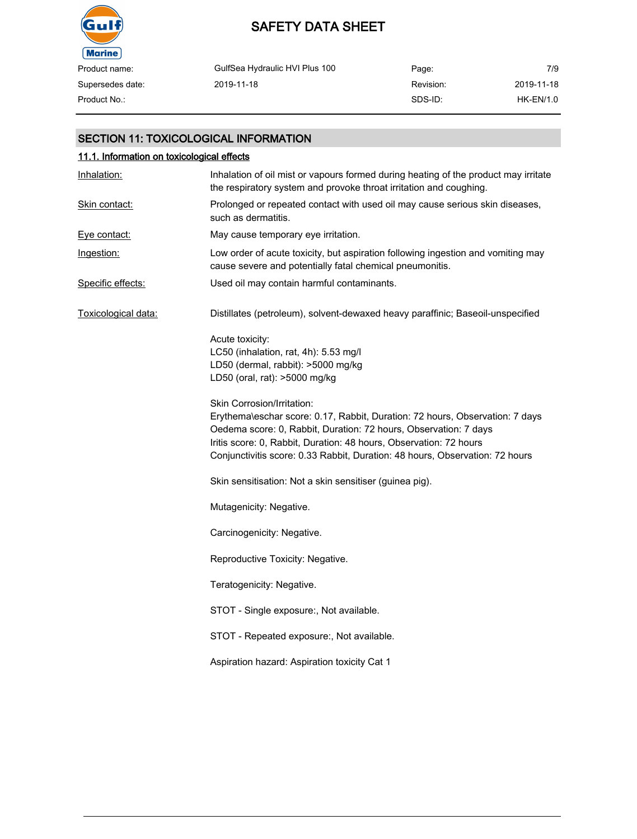

# SAFETY DATA SHEET

| Product name:    | GulfSea Hydraulic HVI Plus 100 | Page:     | 7/9        |
|------------------|--------------------------------|-----------|------------|
| Supersedes date: | 2019-11-18                     | Revision: | 2019-11-18 |
| Product No.:     |                                | SDS-ID:   | HK-EN/1.0  |

### SECTION 11: TOXICOLOGICAL INFORMATION

| 11.1. Information on toxicological effects |                                                                                                                                                                                                                                                                                                                                      |  |  |
|--------------------------------------------|--------------------------------------------------------------------------------------------------------------------------------------------------------------------------------------------------------------------------------------------------------------------------------------------------------------------------------------|--|--|
| Inhalation:                                | Inhalation of oil mist or vapours formed during heating of the product may irritate<br>the respiratory system and provoke throat irritation and coughing.                                                                                                                                                                            |  |  |
| Skin contact:                              | Prolonged or repeated contact with used oil may cause serious skin diseases,<br>such as dermatitis.                                                                                                                                                                                                                                  |  |  |
| Eve contact:                               | May cause temporary eye irritation.                                                                                                                                                                                                                                                                                                  |  |  |
| Ingestion:                                 | Low order of acute toxicity, but aspiration following ingestion and vomiting may<br>cause severe and potentially fatal chemical pneumonitis.                                                                                                                                                                                         |  |  |
| Specific effects:                          | Used oil may contain harmful contaminants.                                                                                                                                                                                                                                                                                           |  |  |
| Toxicological data:                        | Distillates (petroleum), solvent-dewaxed heavy paraffinic; Baseoil-unspecified                                                                                                                                                                                                                                                       |  |  |
|                                            | Acute toxicity:<br>LC50 (inhalation, rat, 4h): 5.53 mg/l<br>LD50 (dermal, rabbit): >5000 mg/kg<br>LD50 (oral, rat): >5000 mg/kg                                                                                                                                                                                                      |  |  |
|                                            | Skin Corrosion/Irritation:<br>Erythema\eschar score: 0.17, Rabbit, Duration: 72 hours, Observation: 7 days<br>Oedema score: 0, Rabbit, Duration: 72 hours, Observation: 7 days<br>Iritis score: 0, Rabbit, Duration: 48 hours, Observation: 72 hours<br>Conjunctivitis score: 0.33 Rabbit, Duration: 48 hours, Observation: 72 hours |  |  |
|                                            | Skin sensitisation: Not a skin sensitiser (guinea pig).                                                                                                                                                                                                                                                                              |  |  |
|                                            | Mutagenicity: Negative.                                                                                                                                                                                                                                                                                                              |  |  |
|                                            | Carcinogenicity: Negative.                                                                                                                                                                                                                                                                                                           |  |  |
|                                            | Reproductive Toxicity: Negative.                                                                                                                                                                                                                                                                                                     |  |  |
|                                            | Teratogenicity: Negative.                                                                                                                                                                                                                                                                                                            |  |  |
|                                            | STOT - Single exposure:, Not available.                                                                                                                                                                                                                                                                                              |  |  |
|                                            | STOT - Repeated exposure:, Not available.                                                                                                                                                                                                                                                                                            |  |  |
|                                            | Aspiration hazard: Aspiration toxicity Cat 1                                                                                                                                                                                                                                                                                         |  |  |
|                                            |                                                                                                                                                                                                                                                                                                                                      |  |  |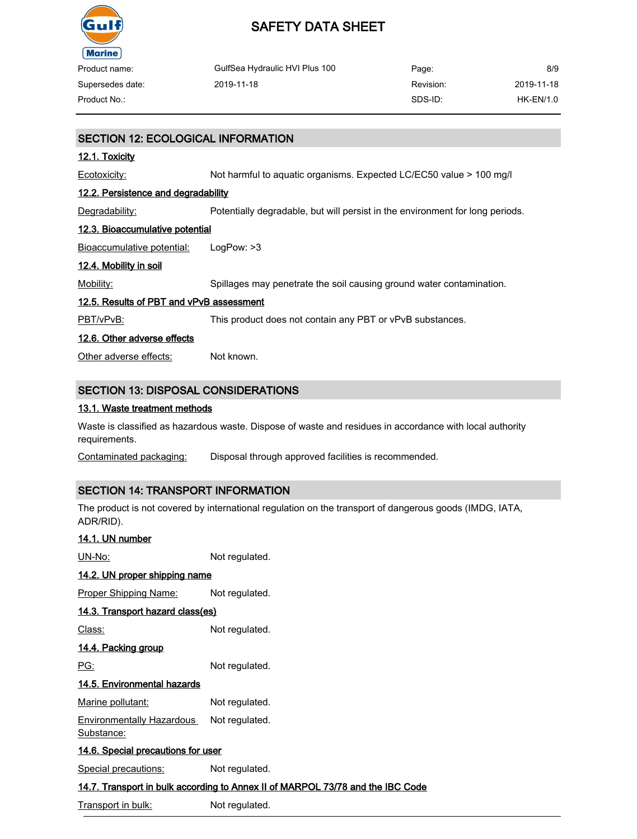

| Product name:    | GulfSea Hydraulic HVI Plus 100 | Page:     | 8/9        |
|------------------|--------------------------------|-----------|------------|
| Supersedes date: | 2019-11-18                     | Revision: | 2019-11-18 |
| Product No.:     |                                | SDS-ID:   | HK-EN/1.0  |

# SECTION 12: ECOLOGICAL INFORMATION 12.1. Toxicity Ecotoxicity: Not harmful to aquatic organisms. Expected LC/EC50 value > 100 mg/l 12.2. Persistence and degradability Degradability: Potentially degradable, but will persist in the environment for long periods. 12.3. Bioaccumulative potential Bioaccumulative potential: LogPow: >3 12.4. Mobility in soil Mobility: Spillages may penetrate the soil causing ground water contamination. 12.5. Results of PBT and vPvB assessment PBT/vPvB: This product does not contain any PBT or vPvB substances. 12.6. Other adverse effects Other adverse effects: Not known. SECTION 13: DISPOSAL CONSIDERATIONS

#### 13.1. Waste treatment methods

Waste is classified as hazardous waste. Dispose of waste and residues in accordance with local authority requirements.

Contaminated packaging: Disposal through approved facilities is recommended.

### SECTION 14: TRANSPORT INFORMATION

The product is not covered by international regulation on the transport of dangerous goods (IMDG, IATA, ADR/RID).

| 14.1. UN number                                                                |                |  |  |
|--------------------------------------------------------------------------------|----------------|--|--|
| UN-No:                                                                         | Not regulated. |  |  |
| 14.2. UN proper shipping name                                                  |                |  |  |
| <b>Proper Shipping Name:</b>                                                   | Not regulated. |  |  |
| 14.3. Transport hazard class(es)                                               |                |  |  |
| Class:                                                                         | Not regulated. |  |  |
| 14.4. Packing group                                                            |                |  |  |
| PG:                                                                            | Not regulated. |  |  |
| 14.5. Environmental hazards                                                    |                |  |  |
| Marine pollutant:                                                              | Not regulated. |  |  |
| Environmentally Hazardous<br>Substance:                                        | Not regulated. |  |  |
| <u>14.6. Special precautions for user</u>                                      |                |  |  |
| Special precautions:                                                           | Not regulated. |  |  |
| 14.7. Transport in bulk according to Annex II of MARPOL 73/78 and the IBC Code |                |  |  |

Transport in bulk: Not regulated.